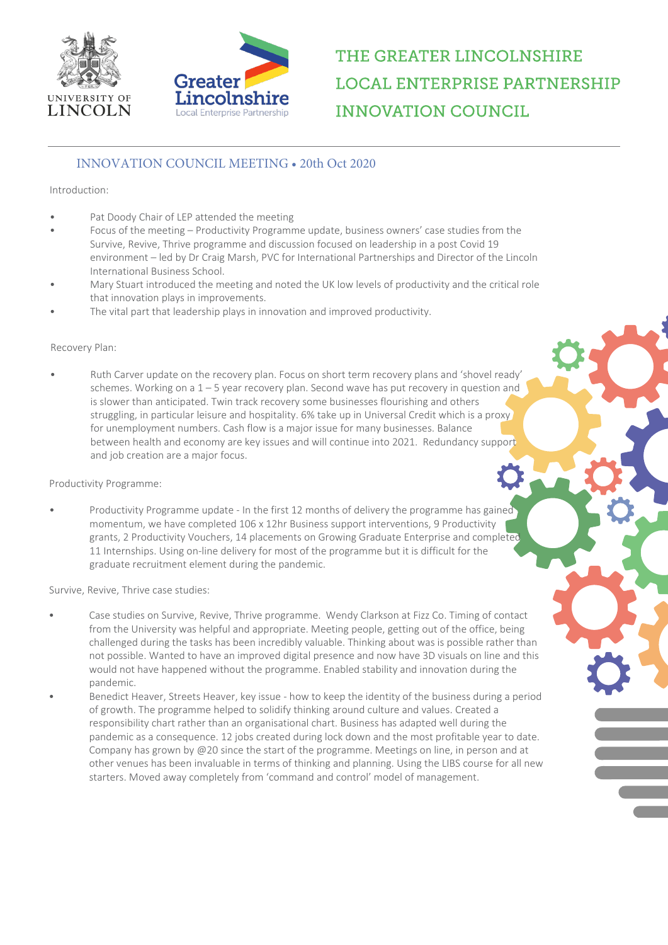



# THE GREATER LINCOLNSHIRE **LOCAL ENTERPRISE PARTNERSHIP INNOVATION COUNCIL**

### INNOVATION COUNCIL MEETING • 20th Oct 2020

### Introduction:

- Pat Doody Chair of LEP attended the meeting
- Focus of the meeting Productivity Programme update, business owners' case studies from the Survive, Revive, Thrive programme and discussion focused on leadership in a post Covid 19 environment – led by Dr Craig Marsh, PVC for International Partnerships and Director of the Lincoln International Business School.
- Mary Stuart introduced the meeting and noted the UK low levels of productivity and the critical role that innovation plays in improvements.
- The vital part that leadership plays in innovation and improved productivity.

#### Recovery Plan:

• Ruth Carver update on the recovery plan. Focus on short term recovery plans and 'shovel ready' schemes. Working on a  $1 - 5$  year recovery plan. Second wave has put recovery in question and is slower than anticipated. Twin track recovery some businesses flourishing and others struggling, in particular leisure and hospitality. 6% take up in Universal Credit which is a proxy for unemployment numbers. Cash flow is a major issue for many businesses. Balance between health and economy are key issues and will continue into 2021. Redundancy support and job creation are a major focus.

#### Productivity Programme:

Productivity Programme update - In the first 12 months of delivery the programme has gained momentum, we have completed 106 x 12hr Business support interventions, 9 Productivity grants, 2 Productivity Vouchers, 14 placements on Growing Graduate Enterprise and completed 11 Internships. Using on-line delivery for most of the programme but it is difficult for the graduate recruitment element during the pandemic.

Survive, Revive, Thrive case studies:

- Case studies on Survive, Revive, Thrive programme. Wendy Clarkson at Fizz Co. Timing of contact from the University was helpful and appropriate. Meeting people, getting out of the office, being challenged during the tasks has been incredibly valuable. Thinking about was is possible rather than not possible. Wanted to have an improved digital presence and now have 3D visuals on line and this would not have happened without the programme. Enabled stability and innovation during the pandemic.
- Benedict Heaver, Streets Heaver, key issue how to keep the identity of the business during a period of growth. The programme helped to solidify thinking around culture and values. Created a responsibility chart rather than an organisational chart. Business has adapted well during the pandemic as a consequence. 12 jobs created during lock down and the most profitable year to date. Company has grown by @20 since the start of the programme. Meetings on line, in person and at other venues has been invaluable in terms of thinking and planning. Using the LIBS course for all new starters. Moved away completely from 'command and control' model of management.